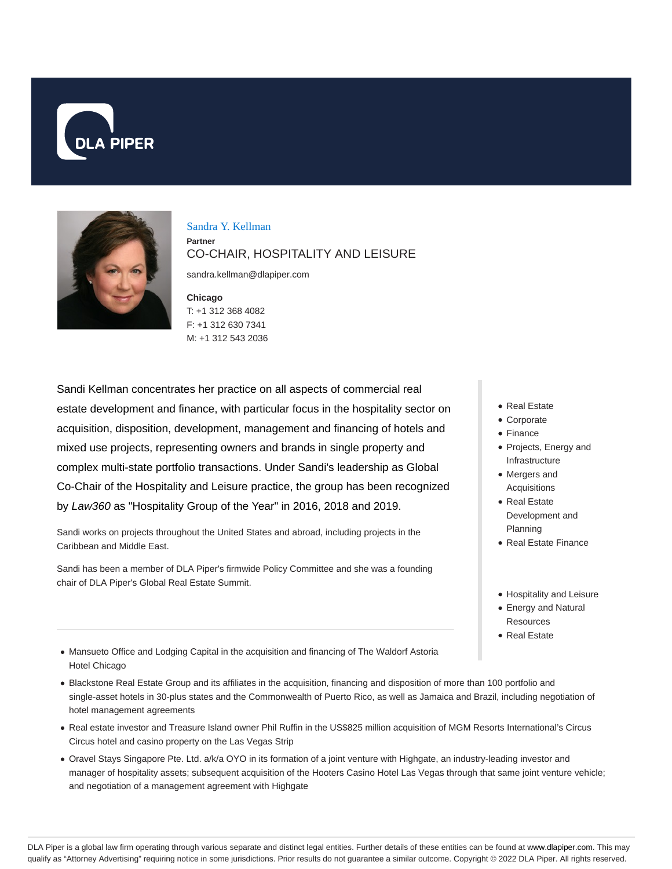



Sandra Y. Kellman **Partner** CO-CHAIR, HOSPITALITY AND LEISURE

sandra.kellman@dlapiper.com

**Chicago** T: +1 312 368 4082 F: +1 312 630 7341 M: +1 312 543 2036

Sandi Kellman concentrates her practice on all aspects of commercial real estate development and finance, with particular focus in the hospitality sector on acquisition, disposition, development, management and financing of hotels and mixed use projects, representing owners and brands in single property and complex multi-state portfolio transactions. Under Sandi's leadership as Global Co-Chair of the Hospitality and Leisure practice, the group has been recognized by Law360 as "Hospitality Group of the Year" in 2016, 2018 and 2019.

Sandi works on projects throughout the United States and abroad, including projects in the Caribbean and Middle East.

Sandi has been a member of DLA Piper's firmwide Policy Committee and she was a founding chair of DLA Piper's Global Real Estate Summit.

- Real Estate
- Corporate
- Finance
- Projects, Energy and Infrastructure
- Mergers and Acquisitions
- Real Estate Development and Planning
- Real Estate Finance
- Hospitality and Leisure
- Energy and Natural Resources
- Real Estate
- Mansueto Office and Lodging Capital in the acquisition and financing of The Waldorf Astoria Hotel Chicago
- Blackstone Real Estate Group and its affiliates in the acquisition, financing and disposition of more than 100 portfolio and single-asset hotels in 30-plus states and the Commonwealth of Puerto Rico, as well as Jamaica and Brazil, including negotiation of hotel management agreements
- Real estate investor and Treasure Island owner Phil Ruffin in the US\$825 million acquisition of MGM Resorts International's Circus Circus hotel and casino property on the Las Vegas Strip
- Oravel Stays Singapore Pte. Ltd. a/k/a OYO in its formation of a joint venture with Highgate, an industry-leading investor and manager of hospitality assets; subsequent acquisition of the Hooters Casino Hotel Las Vegas through that same joint venture vehicle; and negotiation of a management agreement with Highgate

DLA Piper is a global law firm operating through various separate and distinct legal entities. Further details of these entities can be found at www.dlapiper.com. This may qualify as "Attorney Advertising" requiring notice in some jurisdictions. Prior results do not guarantee a similar outcome. Copyright © 2022 DLA Piper. All rights reserved.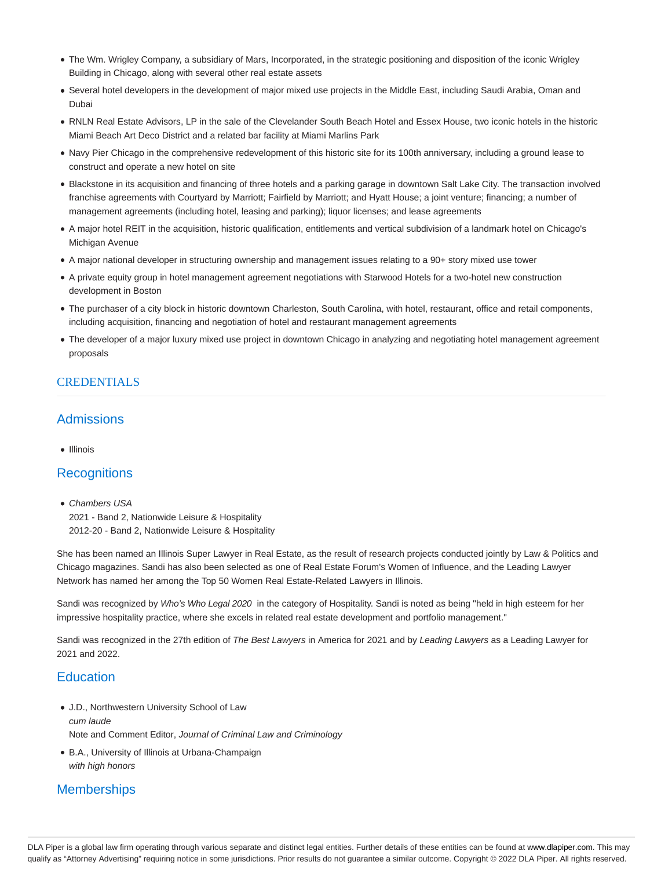- The Wm. Wrigley Company, a subsidiary of Mars, Incorporated, in the strategic positioning and disposition of the iconic Wrigley Building in Chicago, along with several other real estate assets
- Several hotel developers in the development of major mixed use projects in the Middle East, including Saudi Arabia, Oman and Dubai
- RNLN Real Estate Advisors, LP in the sale of the Clevelander South Beach Hotel and Essex House, two iconic hotels in the historic Miami Beach Art Deco District and a related bar facility at Miami Marlins Park
- Navy Pier Chicago in the comprehensive redevelopment of this historic site for its 100th anniversary, including a ground lease to construct and operate a new hotel on site
- Blackstone in its acquisition and financing of three hotels and a parking garage in downtown Salt Lake City. The transaction involved franchise agreements with Courtyard by Marriott; Fairfield by Marriott; and Hyatt House; a joint venture; financing; a number of management agreements (including hotel, leasing and parking); liquor licenses; and lease agreements
- A major hotel REIT in the acquisition, historic qualification, entitlements and vertical subdivision of a landmark hotel on Chicago's Michigan Avenue
- A major national developer in structuring ownership and management issues relating to a 90+ story mixed use tower
- A private equity group in hotel management agreement negotiations with Starwood Hotels for a two-hotel new construction development in Boston
- The purchaser of a city block in historic downtown Charleston, South Carolina, with hotel, restaurant, office and retail components, including acquisition, financing and negotiation of hotel and restaurant management agreements
- The developer of a major luxury mixed use project in downtown Chicago in analyzing and negotiating hotel management agreement proposals

## **CREDENTIALS**

# Admissions

• Illinois

#### **Recognitions**

• Chambers USA 2021 - Band 2, Nationwide Leisure & Hospitality 2012-20 - Band 2, Nationwide Leisure & Hospitality

She has been named an Illinois Super Lawyer in Real Estate, as the result of research projects conducted jointly by Law & Politics and Chicago magazines. Sandi has also been selected as one of Real Estate Forum's Women of Influence, and the Leading Lawyer Network has named her among the Top 50 Women Real Estate-Related Lawyers in Illinois.

Sandi was recognized by Who's Who Legal 2020 in the category of Hospitality. Sandi is noted as being "held in high esteem for her impressive hospitality practice, where she excels in related real estate development and portfolio management."

Sandi was recognized in the 27th edition of The Best Lawyers in America for 2021 and by Leading Lawyers as a Leading Lawyer for 2021 and 2022.

# **Education**

J.D., Northwestern University School of Law

cum laude

Note and Comment Editor, Journal of Criminal Law and Criminology

B.A., University of Illinois at Urbana-Champaign with high honors

# **Memberships**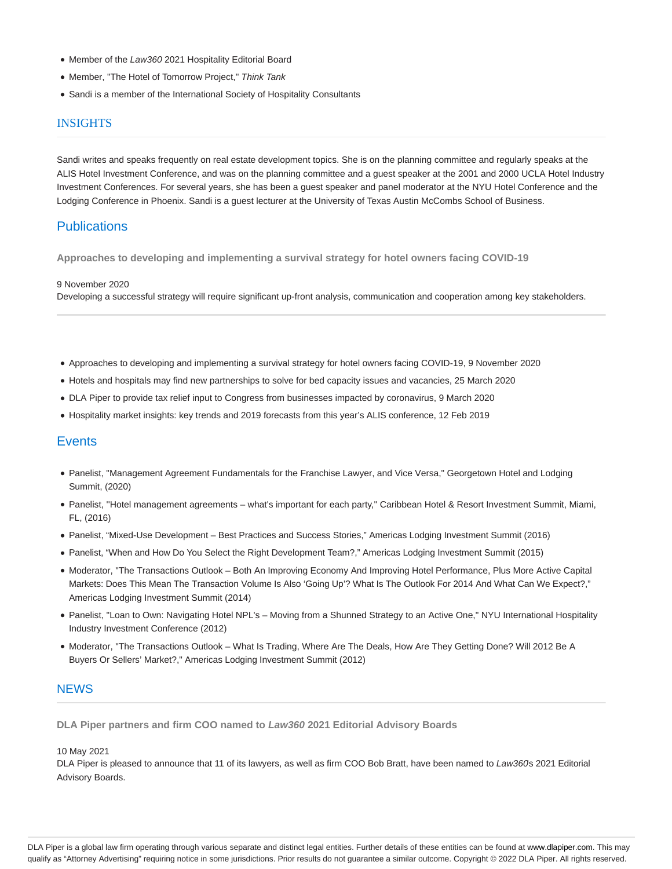- Member of the Law360 2021 Hospitality Editorial Board
- Member, "The Hotel of Tomorrow Project," Think Tank
- Sandi is a member of the International Society of Hospitality Consultants

#### INSIGHTS

Sandi writes and speaks frequently on real estate development topics. She is on the planning committee and regularly speaks at the ALIS Hotel Investment Conference, and was on the planning committee and a guest speaker at the 2001 and 2000 UCLA Hotel Industry Investment Conferences. For several years, she has been a guest speaker and panel moderator at the NYU Hotel Conference and the Lodging Conference in Phoenix. Sandi is a guest lecturer at the University of Texas Austin McCombs School of Business.

## **Publications**

**Approaches to developing and implementing a survival strategy for hotel owners facing COVID-19**

#### 9 November 2020

Developing a successful strategy will require significant up-front analysis, communication and cooperation among key stakeholders.

- Approaches to developing and implementing a survival strategy for hotel owners facing COVID-19, 9 November 2020
- Hotels and hospitals may find new partnerships to solve for bed capacity issues and vacancies, 25 March 2020
- DLA Piper to provide tax relief input to Congress from businesses impacted by coronavirus, 9 March 2020
- Hospitality market insights: key trends and 2019 forecasts from this year's ALIS conference, 12 Feb 2019

## **Events**

- Panelist, "Management Agreement Fundamentals for the Franchise Lawyer, and Vice Versa," Georgetown Hotel and Lodging Summit, (2020)
- Panelist, ''Hotel management agreements what's important for each party,'' Caribbean Hotel & Resort Investment Summit, Miami, FL, (2016)
- Panelist, "Mixed-Use Development Best Practices and Success Stories," Americas Lodging Investment Summit (2016)
- Panelist, "When and How Do You Select the Right Development Team?," Americas Lodging Investment Summit (2015)
- Moderator, "The Transactions Outlook Both An Improving Economy And Improving Hotel Performance, Plus More Active Capital Markets: Does This Mean The Transaction Volume Is Also 'Going Up'? What Is The Outlook For 2014 And What Can We Expect?," Americas Lodging Investment Summit (2014)
- Panelist, "Loan to Own: Navigating Hotel NPL's Moving from a Shunned Strategy to an Active One," NYU International Hospitality Industry Investment Conference (2012)
- Moderator, "The Transactions Outlook What Is Trading, Where Are The Deals, How Are They Getting Done? Will 2012 Be A Buyers Or Sellers' Market?," Americas Lodging Investment Summit (2012)

## **NEWS**

**DLA Piper partners and firm COO named to Law360 2021 Editorial Advisory Boards**

#### 10 May 2021

DLA Piper is pleased to announce that 11 of its lawyers, as well as firm COO Bob Bratt, have been named to Law360s 2021 Editorial Advisory Boards.